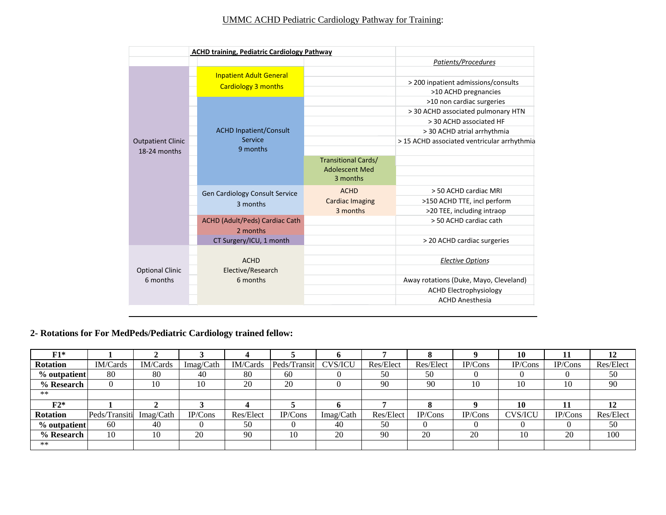## UMMC ACHD Pediatric Cardiology Pathway for Training:

|                          |  | <b>ACHD training, Pediatric Cardiology Pathway</b>           |                                                                 |                                                             |
|--------------------------|--|--------------------------------------------------------------|-----------------------------------------------------------------|-------------------------------------------------------------|
|                          |  |                                                              |                                                                 | Patients/Procedures                                         |
|                          |  | <b>Inpatient Adult General</b><br><b>Cardiology 3 months</b> |                                                                 | > 200 inpatient admissions/consults<br>>10 ACHD pregnancies |
|                          |  |                                                              |                                                                 | >10 non cardiac surgeries                                   |
|                          |  |                                                              |                                                                 | > 30 ACHD associated pulmonary HTN                          |
|                          |  |                                                              |                                                                 | > 30 ACHD associated HF                                     |
|                          |  | <b>ACHD Inpatient/Consult</b>                                |                                                                 | > 30 ACHD atrial arrhythmia                                 |
| <b>Outpatient Clinic</b> |  | Service                                                      |                                                                 | > 15 ACHD associated ventricular arrhythmia                 |
| 18-24 months             |  | 9 months                                                     |                                                                 |                                                             |
|                          |  |                                                              | <b>Transitional Cards/</b><br><b>Adolescent Med</b><br>3 months |                                                             |
|                          |  | Gen Cardiology Consult Service                               | <b>ACHD</b>                                                     | > 50 ACHD cardiac MRI                                       |
|                          |  | 3 months                                                     | <b>Cardiac Imaging</b>                                          | >150 ACHD TTE, incl perform                                 |
|                          |  |                                                              | 3 months                                                        | >20 TEE, including intraop                                  |
|                          |  | ACHD (Adult/Peds) Cardiac Cath                               |                                                                 | > 50 ACHD cardiac cath                                      |
|                          |  | 2 months                                                     |                                                                 |                                                             |
|                          |  | CT Surgery/ICU, 1 month                                      |                                                                 | > 20 ACHD cardiac surgeries                                 |
| <b>Optional Clinic</b>   |  | <b>ACHD</b><br>Elective/Research                             |                                                                 | <b>Elective Options</b>                                     |
| 6 months                 |  | 6 months                                                     |                                                                 | Away rotations (Duke, Mayo, Cleveland)                      |
|                          |  |                                                              |                                                                 | <b>ACHD Electrophysiology</b>                               |
|                          |  |                                                              |                                                                 | <b>ACHD Anesthesia</b>                                      |

**2- Rotations for For MedPeds/Pediatric Cardiology trained fellow:**

| $F1*$           |               |                 |           |           |              |                |           |           |         | 10             |         | 12        |
|-----------------|---------------|-----------------|-----------|-----------|--------------|----------------|-----------|-----------|---------|----------------|---------|-----------|
| <b>Rotation</b> | IM/Cards      | <b>IM/Cards</b> | Imag/Cath | IM/Cards  | Peds/Transit | <b>CVS/ICU</b> | Res/Elect | Res/Elect | IP/Cons | IP/Cons        | IP/Cons | Res/Elect |
| % outpatient    | 80            | 80              | 40        | 80        | 60           |                | 50        | 50        |         |                |         | 50        |
| % Research      |               | 10              | 10        | 20        | 20           |                | 90        | 90        | 10      | 10             | 10      | 90        |
| $***$           |               |                 |           |           |              |                |           |           |         |                |         |           |
| $F2*$           |               |                 |           |           |              |                |           |           |         | 10             |         | 12        |
| <b>Rotation</b> | Peds/Transiti | Imag/Cath       | IP/Cons   | Res/Elect | IP/Cons      | Imag/Cath      | Res/Elect | IP/Cons   | IP/Cons | <b>CVS/ICU</b> | IP/Cons | Res/Elect |
| % outpatient    | 60            | 40              |           | 50        |              | 40             | 50        |           |         |                |         | 50        |
| % Research      | 10            | 10              | 20        | 90        | 10           | 20             | 90        | 20        | 20      |                | 20      | 100       |
| $**$            |               |                 |           |           |              |                |           |           |         |                |         |           |